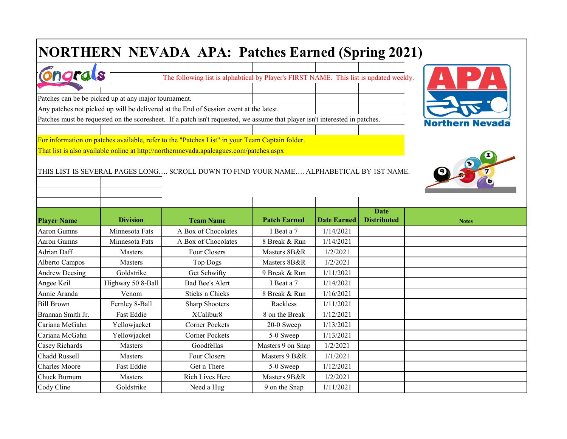## **NORTHERN NEVADA APA: Patches Earned (Spring 2021)**

| $\sim$ |  | $\sim$ following list is alphabitical by Player's FIRST NAME. This list is undated week |  |  |  |
|--------|--|-----------------------------------------------------------------------------------------|--|--|--|
|        |  |                                                                                         |  |  |  |

Patches can be be picked up at any major tournament.

Any patches not picked up will be delivered at the End of Session event at the latest.

Patches must be requested on the scoresheet. If a patch isn't requested, we assume that player isn't interested in patches.

For information on patches available, refer to the "Patches List" in your Team Captain folder.

That list is also available online at http://northernnevada.apaleagues.com/patches.aspx

THIS LIST IS SEVERAL PAGES LONG…. SCROLL DOWN TO FIND YOUR NAME…. ALPHABETICAL BY 1ST NAME.

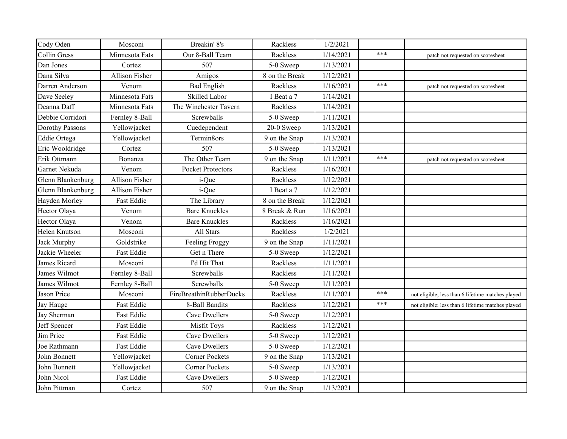| Cody Oden           | Mosconi           | Breakin' 8's                   | Rackless       | 1/2/2021  |     |                                                   |
|---------------------|-------------------|--------------------------------|----------------|-----------|-----|---------------------------------------------------|
| <b>Collin Gress</b> | Minnesota Fats    | Our 8-Ball Team                | Rackless       | 1/14/2021 | *** | patch not requested on scoresheet                 |
| Dan Jones           | Cortez            | 507                            | 5-0 Sweep      | 1/13/2021 |     |                                                   |
| Dana Silva          | Allison Fisher    | Amigos                         | 8 on the Break | 1/12/2021 |     |                                                   |
| Darren Anderson     | Venom             | <b>Bad English</b>             | Rackless       | 1/16/2021 | *** | patch not requested on scoresheet                 |
| Dave Seeley         | Minnesota Fats    | Skilled Labor                  | I Beat a 7     | 1/14/2021 |     |                                                   |
| Deanna Daff         | Minnesota Fats    | The Winchester Tavern          | Rackless       | 1/14/2021 |     |                                                   |
| Debbie Corridori    | Fernley 8-Ball    | Screwballs                     | 5-0 Sweep      | 1/11/2021 |     |                                                   |
| Dorothy Passons     | Yellowjacket      | Cuedependent                   | 20-0 Sweep     | 1/13/2021 |     |                                                   |
| Eddie Ortega        | Yellowjacket      | Termin8ors                     | 9 on the Snap  | 1/13/2021 |     |                                                   |
| Eric Wooldridge     | Cortez            | 507                            | 5-0 Sweep      | 1/13/2021 |     |                                                   |
| Erik Ottmann        | Bonanza           | The Other Team                 | 9 on the Snap  | 1/11/2021 | *** | patch not requested on scoresheet                 |
| Garnet Nekuda       | Venom             | <b>Pocket Protectors</b>       | Rackless       | 1/16/2021 |     |                                                   |
| Glenn Blankenburg   | Allison Fisher    | i-Que                          | Rackless       | 1/12/2021 |     |                                                   |
| Glenn Blankenburg   | Allison Fisher    | i-Que                          | I Beat a 7     | 1/12/2021 |     |                                                   |
| Hayden Morley       | <b>Fast Eddie</b> | The Library                    | 8 on the Break | 1/12/2021 |     |                                                   |
| Hector Olaya        | Venom             | <b>Bare Knuckles</b>           | 8 Break & Run  | 1/16/2021 |     |                                                   |
| Hector Olaya        | Venom             | <b>Bare Knuckles</b>           | Rackless       | 1/16/2021 |     |                                                   |
| Helen Knutson       | Mosconi           | All Stars                      | Rackless       | 1/2/2021  |     |                                                   |
| Jack Murphy         | Goldstrike        | Feeling Froggy                 | 9 on the Snap  | 1/11/2021 |     |                                                   |
| Jackie Wheeler      | <b>Fast Eddie</b> | Get n There                    | 5-0 Sweep      | 1/12/2021 |     |                                                   |
| James Ricard        | Mosconi           | I'd Hit That                   | Rackless       | 1/11/2021 |     |                                                   |
| James Wilmot        | Fernley 8-Ball    | Screwballs                     | Rackless       | 1/11/2021 |     |                                                   |
| James Wilmot        | Fernley 8-Ball    | Screwballs                     | 5-0 Sweep      | 1/11/2021 |     |                                                   |
| Jason Price         | Mosconi           | <b>FireBreathinRubberDucks</b> | Rackless       | 1/11/2021 | *** | not eligible; less than 6 lifetime matches played |
| Jay Hauge           | <b>Fast Eddie</b> | 8-Ball Bandits                 | Rackless       | 1/12/2021 | *** | not eligible; less than 6 lifetime matches played |
| Jay Sherman         | <b>Fast Eddie</b> | Cave Dwellers                  | 5-0 Sweep      | 1/12/2021 |     |                                                   |
| Jeff Spencer        | <b>Fast Eddie</b> | Misfit Toys                    | Rackless       | 1/12/2021 |     |                                                   |
| Jim Price           | Fast Eddie        | Cave Dwellers                  | 5-0 Sweep      | 1/12/2021 |     |                                                   |
| Joe Rathmann        | <b>Fast Eddie</b> | Cave Dwellers                  | 5-0 Sweep      | 1/12/2021 |     |                                                   |
| John Bonnett        | Yellowjacket      | <b>Corner Pockets</b>          | 9 on the Snap  | 1/13/2021 |     |                                                   |
| John Bonnett        | Yellowjacket      | <b>Corner Pockets</b>          | 5-0 Sweep      | 1/13/2021 |     |                                                   |
| John Nicol          | <b>Fast Eddie</b> | Cave Dwellers                  | 5-0 Sweep      | 1/12/2021 |     |                                                   |
| John Pittman        | Cortez            | 507                            | 9 on the Snap  | 1/13/2021 |     |                                                   |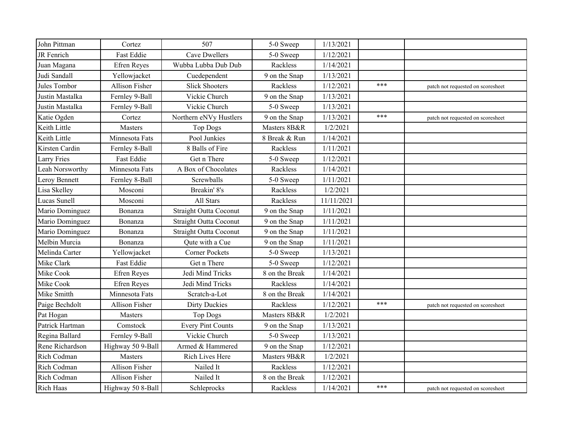| John Pittman       | Cortez                | 507                           | 5-0 Sweep      | 1/13/2021  |     |                                   |
|--------------------|-----------------------|-------------------------------|----------------|------------|-----|-----------------------------------|
| JR Fenrich         | <b>Fast Eddie</b>     | Cave Dwellers                 | 5-0 Sweep      | 1/12/2021  |     |                                   |
| Juan Magana        | Efren Reyes           | Wubba Lubba Dub Dub           | Rackless       | 1/14/2021  |     |                                   |
| Judi Sandall       | Yellowjacket          | Cuedependent                  | 9 on the Snap  | 1/13/2021  |     |                                   |
| Jules Tombor       | <b>Allison Fisher</b> | <b>Slick Shooters</b>         | Rackless       | 1/12/2021  | *** | patch not requested on scoresheet |
| Justin Mastalka    | Fernley 9-Ball        | Vickie Church                 | 9 on the Snap  | 1/13/2021  |     |                                   |
| Justin Mastalka    | Fernley 9-Ball        | Vickie Church                 | 5-0 Sweep      | 1/13/2021  |     |                                   |
| Katie Ogden        | Cortez                | Northern eNVy Hustlers        | 9 on the Snap  | 1/13/2021  | *** | patch not requested on scoresheet |
| Keith Little       | Masters               | <b>Top Dogs</b>               | Masters 8B&R   | 1/2/2021   |     |                                   |
| Keith Little       | Minnesota Fats        | Pool Junkies                  | 8 Break & Run  | 1/14/2021  |     |                                   |
| Kirsten Cardin     | Fernley 8-Ball        | 8 Balls of Fire               | Rackless       | 1/11/2021  |     |                                   |
| <b>Larry Fries</b> | Fast Eddie            | Get n There                   | 5-0 Sweep      | 1/12/2021  |     |                                   |
| Leah Norsworthy    | Minnesota Fats        | A Box of Chocolates           | Rackless       | 1/14/2021  |     |                                   |
| Leroy Bennett      | Fernley 8-Ball        | Screwballs                    | 5-0 Sweep      | 1/11/2021  |     |                                   |
| Lisa Skelley       | Mosconi               | Breakin' 8's                  | Rackless       | 1/2/2021   |     |                                   |
| Lucas Sunell       | Mosconi               | All Stars                     | Rackless       | 11/11/2021 |     |                                   |
| Mario Dominguez    | Bonanza               | <b>Straight Outta Coconut</b> | 9 on the Snap  | 1/11/2021  |     |                                   |
| Mario Dominguez    | Bonanza               | <b>Straight Outta Coconut</b> | 9 on the Snap  | 1/11/2021  |     |                                   |
| Mario Dominguez    | Bonanza               | <b>Straight Outta Coconut</b> | 9 on the Snap  | 1/11/2021  |     |                                   |
| Melbin Murcia      | Bonanza               | Qute with a Cue               | 9 on the Snap  | 1/11/2021  |     |                                   |
| Melinda Carter     | Yellowjacket          | <b>Corner Pockets</b>         | 5-0 Sweep      | 1/13/2021  |     |                                   |
| Mike Clark         | Fast Eddie            | Get n There                   | 5-0 Sweep      | 1/12/2021  |     |                                   |
| Mike Cook          | Efren Reyes           | Jedi Mind Tricks              | 8 on the Break | 1/14/2021  |     |                                   |
| Mike Cook          | Efren Reyes           | Jedi Mind Tricks              | Rackless       | 1/14/2021  |     |                                   |
| Mike Smitth        | Minnesota Fats        | Scratch-a-Lot                 | 8 on the Break | 1/14/2021  |     |                                   |
| Paige Bechdolt     | <b>Allison Fisher</b> | <b>Dirty Duckies</b>          | Rackless       | 1/12/2021  | *** | patch not requested on scoresheet |
| Pat Hogan          | Masters               | <b>Top Dogs</b>               | Masters 8B&R   | 1/2/2021   |     |                                   |
| Patrick Hartman    | Comstock              | <b>Every Pint Counts</b>      | 9 on the Snap  | 1/13/2021  |     |                                   |
| Regina Ballard     | Fernley 9-Ball        | Vickie Church                 | 5-0 Sweep      | 1/13/2021  |     |                                   |
| Rene Richardson    | Highway 50 9-Ball     | Armed & Hammered              | 9 on the Snap  | 1/12/2021  |     |                                   |
| Rich Codman        | Masters               | Rich Lives Here               | Masters 9B&R   | 1/2/2021   |     |                                   |
| Rich Codman        | Allison Fisher        | Nailed It                     | Rackless       | 1/12/2021  |     |                                   |
| Rich Codman        | <b>Allison Fisher</b> | Nailed It                     | 8 on the Break | 1/12/2021  |     |                                   |
| <b>Rich Haas</b>   | Highway 50 8-Ball     | Schleprocks                   | Rackless       | 1/14/2021  | *** | patch not requested on scoresheet |